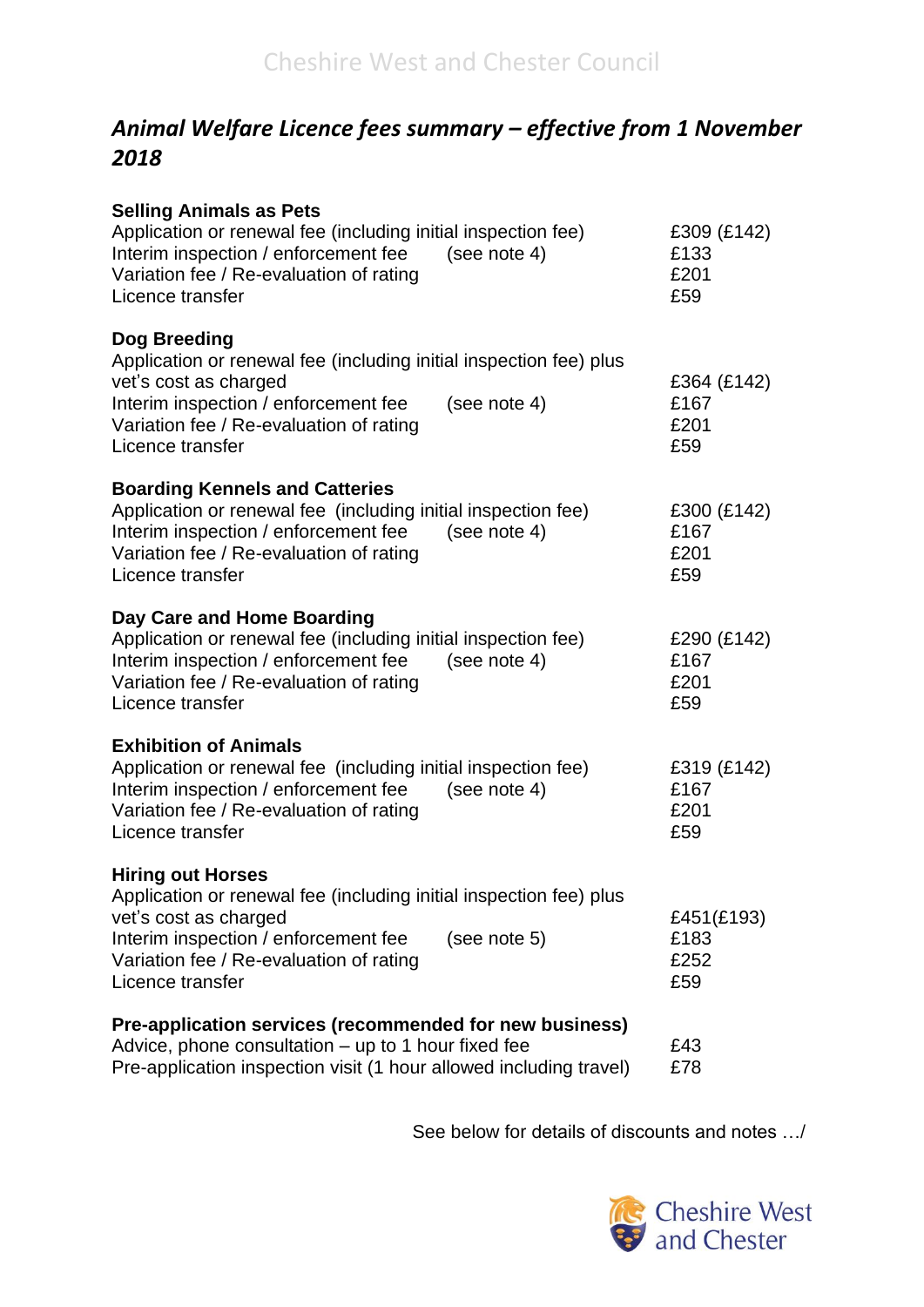## *Animal Welfare Licence fees summary – effective from 1 November 2018*

| <b>Selling Animals as Pets</b><br>Application or renewal fee (including initial inspection fee)<br>Interim inspection / enforcement fee<br>(see note $4$ )<br>Variation fee / Re-evaluation of rating<br>Licence transfer                      | £309 (£142)<br>£133<br>£201<br>£59 |
|------------------------------------------------------------------------------------------------------------------------------------------------------------------------------------------------------------------------------------------------|------------------------------------|
| Dog Breeding<br>Application or renewal fee (including initial inspection fee) plus<br>vet's cost as charged<br>(see note 4)<br>Interim inspection / enforcement fee<br>Variation fee / Re-evaluation of rating<br>Licence transfer             | £364 (£142)<br>£167<br>£201<br>£59 |
| <b>Boarding Kennels and Catteries</b><br>Application or renewal fee (including initial inspection fee)<br>Interim inspection / enforcement fee<br>(see note 4)<br>Variation fee / Re-evaluation of rating<br>Licence transfer                  | £300 (£142)<br>£167<br>£201<br>£59 |
| Day Care and Home Boarding<br>Application or renewal fee (including initial inspection fee)<br>Interim inspection / enforcement fee<br>(see note 4)<br>Variation fee / Re-evaluation of rating<br>Licence transfer                             | £290 (£142)<br>£167<br>£201<br>£59 |
| <b>Exhibition of Animals</b><br>Application or renewal fee (including initial inspection fee)<br>Interim inspection / enforcement fee<br>(see note 4)<br>Variation fee / Re-evaluation of rating<br>Licence transfer                           | £319 (£142)<br>£167<br>£201<br>£59 |
| <b>Hiring out Horses</b><br>Application or renewal fee (including initial inspection fee) plus<br>vet's cost as charged<br>Interim inspection / enforcement fee<br>(see note 5)<br>Variation fee / Re-evaluation of rating<br>Licence transfer | £451(£193)<br>£183<br>£252<br>£59  |
| Pre-application services (recommended for new business)<br>Advice, phone consultation $-$ up to 1 hour fixed fee<br>Pre-application inspection visit (1 hour allowed including travel)                                                         | £43<br>£78                         |

See below for details of discounts and notes …/